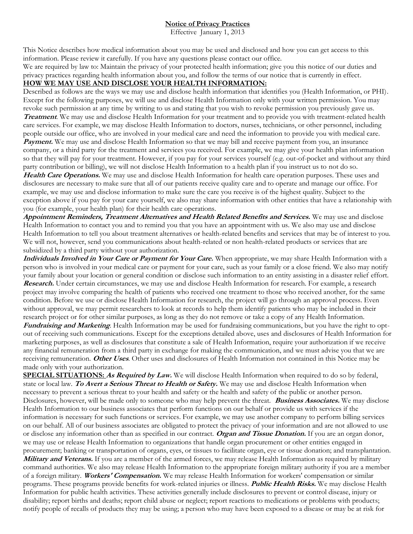## **Notice of Privacy Practices**

Effective January 1, 2013

This Notice describes how medical information about you may be used and disclosed and how you can get access to this information. Please review it carefully. If you have any questions please contact our office.

We are required by law to: Maintain the privacy of your protected health information; give you this notice of our duties and privacy practices regarding health information about you, and follow the terms of our notice that is currently in effect.

## **HOW WE MAY USE AND DISCLOSE YOUR HEALTH INFORMATION:**

Described as follows are the ways we may use and disclose health information that identifies you (Health Information, or PHI). Except for the following purposes, we will use and disclose Health Information only with your written permission. You may revoke such permission at any time by writing to us and stating that you wish to revoke permission you previously gave us. *Treatment*. We may use and disclose Health Information for your treatment and to provide you with treatment-related health care services. For example, we may disclose Health Information to doctors, nurses, technicians, or other personnel, including people outside our office, who are involved in your medical care and need the information to provide you with medical care. *Payment*. We may use and disclose Health Information so that we may bill and receive payment from you, an insurance company, or a third party for the treatment and services you received. For example, we may give your health plan information so that they will pay for your treatment. However, if you pay for your services yourself (e.g. out-of-pocket and without any third party contribution or billing), we will not disclose Health Information to a health plan if you instruct us to not do so.

*Health Care Operations.* We may use and disclose Health Information for health care operation purposes. These uses and disclosures are necessary to make sure that all of our patients receive quality care and to operate and manage our office. For example, we may use and disclose information to make sure the care you receive is of the highest quality. Subject to the exception above if you pay for your care yourself, we also may share information with other entities that have a relationship with you (for example, your health plan) for their health care operations.

*Appointment Reminders, Treatment Alternatives and Health Related Benefits and Services.* We may use and disclose Health Information to contact you and to remind you that you have an appointment with us. We also may use and disclose Health Information to tell you about treatment alternatives or health-related benefits and services that may be of interest to you. We will not, however, send you communications about health-related or non health-related products or services that are subsidized by a third party without your authorization.

*Individuals Involved in Your Care or Payment for Your Care.* When appropriate, we may share Health Information with a person who is involved in your medical care or payment for your care, such as your family or a close friend. We also may notify your family about your location or general condition or disclose such information to an entity assisting in a disaster relief effort. *Research.* Under certain circumstances, we may use and disclose Health Information for research. For example, a research project may involve comparing the health of patients who received one treatment to those who received another, for the same condition. Before we use or disclose Health Information for research, the project will go through an approval process. Even without approval, we may permit researchers to look at records to help them identify patients who may be included in their research project or for other similar purposes, as long as they do not remove or take a copy of any Health Information. *Fundraising and Marketing*. Health Information may be used for fundraising communications, but you have the right to opt out of receiving such communications. Except for the exceptions detailed above, uses and disclosures of Health Information for marketing purposes, as well as disclosures that constitute a sale of Health Information, require your authorization if we receive

any financial remuneration from a third party in exchange for making the communication, and we must advise you that we are receiving remuneration. *Other Uses*. Other uses and disclosures of Health Information not contained in this Notice may be made only with your authorization.

**SPECIAL SITUATIONS:** *As Required by Law.* We will disclose Health Information when required to do so by federal, state or local law. *To Avert a Serious Threat to Health or Safety.* We may use and disclose Health Information when necessary to prevent a serious threat to your health and safety or the health and safety of the public or another person. Disclosures, however, will be made only to someone who may help prevent the threat. *Business Associates.* We may disclose Health Information to our business associates that perform functions on our behalf or provide us with services if the information is necessary for such functions or services. For example, we may use another company to perform billing services on our behalf. All of our business associates are obligated to protect the privacy of your information and are not allowed to use or disclose any information other than as specified in our contract. *Organ and Tissue Donation.* If you are an organ donor, we may use or release Health Information to organizations that handle organ procurement or other entities engaged in procurement; banking or transportation of organs, eyes, or tissues to facilitate organ, eye or tissue donation; and transplantation. *Military and Veterans.* If you are a member of the armed forces, we may release Health Information as required by military command authorities. We also may release Health Information to the appropriate foreign military authority if you are a member of a foreign military. *Workers' Compensation.* We may release Health Information for workers' compensation or similar programs. These programs provide benefits for work-related injuries or illness. *Public Health Risks.* We may disclose Health Information for public health activities. These activities generally include disclosures to prevent or control disease, injury or disability; report births and deaths; report child abuse or neglect; report reactions to medications or problems with products; notify people of recalls of products they may be using; a person who may have been exposed to a disease or may be at risk for